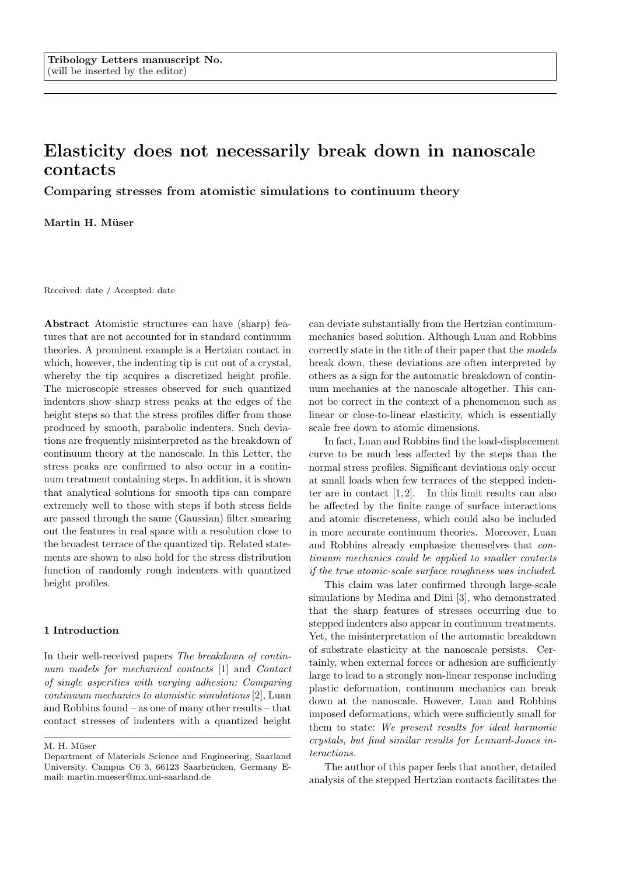# Elasticity does not necessarily break down in nanoscale contacts

Comparing stresses from atomistic simulations to continuum theory

Martin H. Müser

Received: date / Accepted: date

Abstract Atomistic structures can have (sharp) features that are not accounted for in standard continuum theories. A prominent example is a Hertzian contact in which, however, the indenting tip is cut out of a crystal, whereby the tip acquires a discretized height profile. The microscopic stresses observed for such quantized indenters show sharp stress peaks at the edges of the height steps so that the stress profiles differ from those produced by smooth, parabolic indenters. Such deviations are frequently misinterpreted as the breakdown of continuum theory at the nanoscale. In this Letter, the stress peaks are confirmed to also occur in a continuum treatment containing steps. In addition, it is shown that analytical solutions for smooth tips can compare extremely well to those with steps if both stress fields are passed through the same (Gaussian) filter smearing out the features in real space with a resolution close to the broadest terrace of the quantized tip. Related statements are shown to also hold for the stress distribution function of randomly rough indenters with quantized height profiles.

## 1 Introduction

In their well-received papers The breakdown of continuum models for mechanical contacts [1] and Contact of single asperities with varying adhesion: Comparing continuum mechanics to atomistic simulations [2], Luan and Robbins found – as one of many other results – that contact stresses of indenters with a quantized height

M. H. Müser

can deviate substantially from the Hertzian continuummechanics based solution. Although Luan and Robbins correctly state in the title of their paper that the models break down, these deviations are often interpreted by others as a sign for the automatic breakdown of continuum mechanics at the nanoscale altogether. This cannot be correct in the context of a phenomenon such as linear or close-to-linear elasticity, which is essentially scale free down to atomic dimensions.

In fact, Luan and Robbins find the load-displacement curve to be much less affected by the steps than the normal stress profiles. Significant deviations only occur at small loads when few terraces of the stepped indenter are in contact  $[1, 2]$ . In this limit results can also be affected by the finite range of surface interactions and atomic discreteness, which could also be included in more accurate continuum theories. Moreover, Luan and Robbins already emphasize themselves that continuum mechanics could be applied to smaller contacts if the true atomic-scale surface roughness was included.

This claim was later confirmed through large-scale simulations by Medina and Dini [3], who demonstrated that the sharp features of stresses occurring due to stepped indenters also appear in continuum treatments. Yet, the misinterpretation of the automatic breakdown of substrate elasticity at the nanoscale persists. Certainly, when external forces or adhesion are sufficiently large to lead to a strongly non-linear response including plastic deformation, continuum mechanics can break down at the nanoscale. However, Luan and Robbins imposed deformations, which were sufficiently small for them to state: We present results for ideal harmonic crystals, but find similar results for Lennard-Jones interactions.

The author of this paper feels that another, detailed analysis of the stepped Hertzian contacts facilitates the

Department of Materials Science and Engineering, Saarland University, Campus C6 3, 66123 Saarbrücken, Germany Email: martin.mueser@mx.uni-saarland.de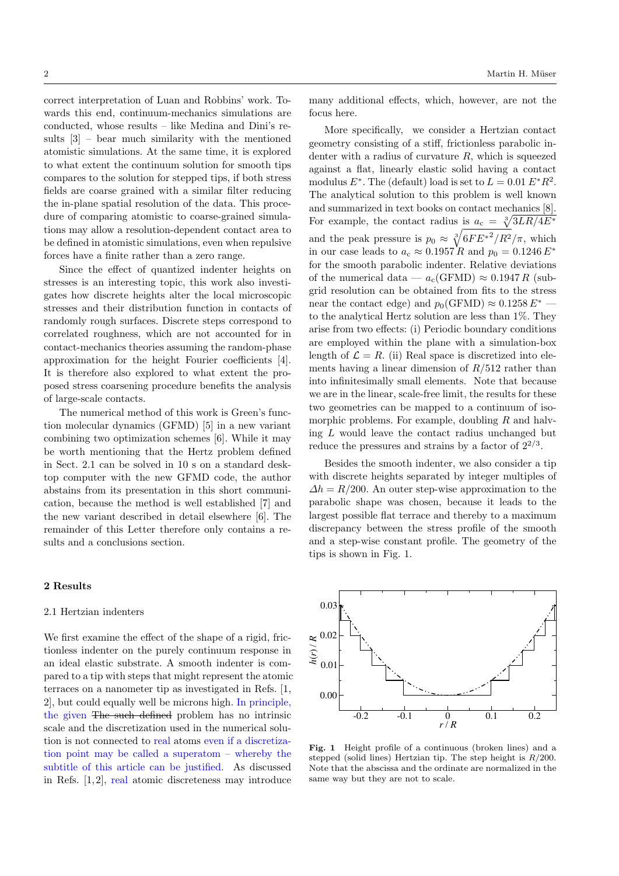correct interpretation of Luan and Robbins' work. Towards this end, continuum-mechanics simulations are conducted, whose results – like Medina and Dini's results [3] – bear much similarity with the mentioned atomistic simulations. At the same time, it is explored to what extent the continuum solution for smooth tips compares to the solution for stepped tips, if both stress fields are coarse grained with a similar filter reducing the in-plane spatial resolution of the data. This procedure of comparing atomistic to coarse-grained simulations may allow a resolution-dependent contact area to be defined in atomistic simulations, even when repulsive forces have a finite rather than a zero range.

Since the effect of quantized indenter heights on stresses is an interesting topic, this work also investigates how discrete heights alter the local microscopic stresses and their distribution function in contacts of randomly rough surfaces. Discrete steps correspond to correlated roughness, which are not accounted for in contact-mechanics theories assuming the random-phase approximation for the height Fourier coefficients [4]. It is therefore also explored to what extent the proposed stress coarsening procedure benefits the analysis of large-scale contacts.

The numerical method of this work is Green's function molecular dynamics (GFMD) [5] in a new variant combining two optimization schemes [6]. While it may be worth mentioning that the Hertz problem defined in Sect. 2.1 can be solved in 10 s on a standard desktop computer with the new GFMD code, the author abstains from its presentation in this short communication, because the method is well established [7] and the new variant described in detail elsewhere [6]. The remainder of this Letter therefore only contains a results and a conclusions section.

## 2 Results

#### 2.1 Hertzian indenters

We first examine the effect of the shape of a rigid, frictionless indenter on the purely continuum response in an ideal elastic substrate. A smooth indenter is compared to a tip with steps that might represent the atomic terraces on a nanometer tip as investigated in Refs. [1, 2], but could equally well be microns high. In principle, the given The such defined problem has no intrinsic scale and the discretization used in the numerical solution is not connected to real atoms even if a discretization point may be called a superatom – whereby the subtitle of this article can be justified. As discussed in Refs.  $[1, 2]$ , real atomic discreteness may introduce

many additional effects, which, however, are not the focus here.

More specifically, we consider a Hertzian contact geometry consisting of a stiff, frictionless parabolic indenter with a radius of curvature  $R$ , which is squeezed against a flat, linearly elastic solid having a contact modulus  $E^*$ . The (default) load is set to  $L = 0.01 E^* R^2$ . The analytical solution to this problem is well known and summarized in text books on contact mechanics [8]. For example, the contact radius is  $a_c = \sqrt[3]{3LR/4E^*}$ and the peak pressure is  $p_0 \approx \sqrt[3]{6FE^{*2}/R^2}/\pi$ , which in our case leads to  $a_c \approx 0.1957 R$  and  $p_0 = 0.1246 E^*$ for the smooth parabolic indenter. Relative deviations of the numerical data —  $a_c(\text{GFMD}) \approx 0.1947 R$  (subgrid resolution can be obtained from fits to the stress near the contact edge) and  $p_0(\text{GFMD}) \approx 0.1258 E^*$ to the analytical Hertz solution are less than 1%. They arise from two effects: (i) Periodic boundary conditions are employed within the plane with a simulation-box length of  $\mathcal{L} = R$ . (ii) Real space is discretized into elements having a linear dimension of  $R/512$  rather than into infinitesimally small elements. Note that because we are in the linear, scale-free limit, the results for these two geometries can be mapped to a continuum of isomorphic problems. For example, doubling  $R$  and halving  $L$  would leave the contact radius unchanged but reduce the pressures and strains by a factor of  $2^{2/3}$ .

Besides the smooth indenter, we also consider a tip with discrete heights separated by integer multiples of  $\Delta h = R/200$ . An outer step-wise approximation to the parabolic shape was chosen, because it leads to the largest possible flat terrace and thereby to a maximum discrepancy between the stress profile of the smooth and a step-wise constant profile. The geometry of the tips is shown in Fig. 1.



Fig. 1 Height profile of a continuous (broken lines) and a stepped (solid lines) Hertzian tip. The step height is  $R/200$ . Note that the abscissa and the ordinate are normalized in the same way but they are not to scale.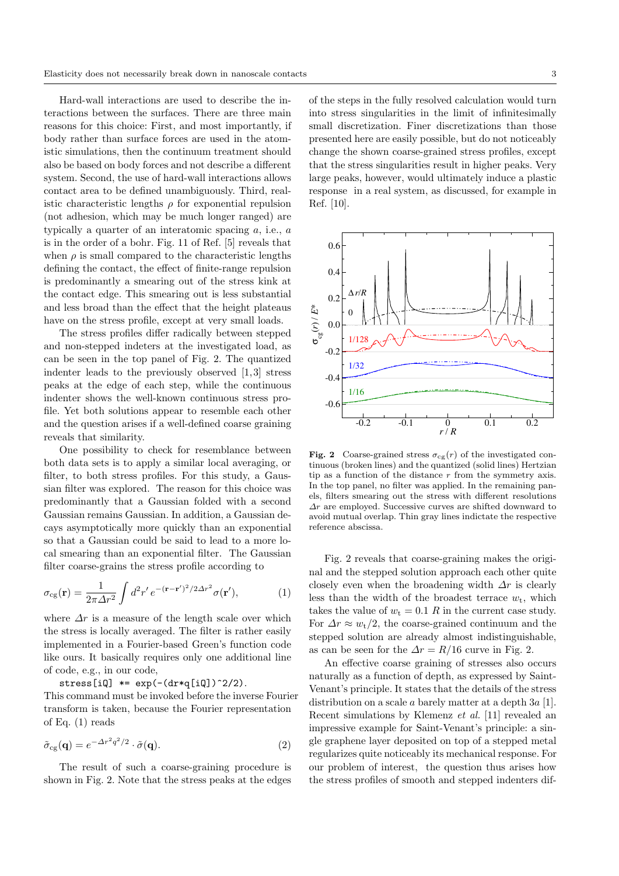Hard-wall interactions are used to describe the interactions between the surfaces. There are three main reasons for this choice: First, and most importantly, if body rather than surface forces are used in the atomistic simulations, then the continuum treatment should also be based on body forces and not describe a different system. Second, the use of hard-wall interactions allows contact area to be defined unambiguously. Third, realistic characteristic lengths  $\rho$  for exponential repulsion (not adhesion, which may be much longer ranged) are typically a quarter of an interatomic spacing a, i.e., a is in the order of a bohr. Fig. 11 of Ref. [5] reveals that when  $\rho$  is small compared to the characteristic lengths defining the contact, the effect of finite-range repulsion is predominantly a smearing out of the stress kink at the contact edge. This smearing out is less substantial and less broad than the effect that the height plateaus have on the stress profile, except at very small loads.

The stress profiles differ radically between stepped and non-stepped indeters at the investigated load, as can be seen in the top panel of Fig. 2. The quantized indenter leads to the previously observed [1, 3] stress peaks at the edge of each step, while the continuous indenter shows the well-known continuous stress profile. Yet both solutions appear to resemble each other and the question arises if a well-defined coarse graining reveals that similarity.

One possibility to check for resemblance between both data sets is to apply a similar local averaging, or filter, to both stress profiles. For this study, a Gaussian filter was explored. The reason for this choice was predominantly that a Gaussian folded with a second Gaussian remains Gaussian. In addition, a Gaussian decays asymptotically more quickly than an exponential so that a Gaussian could be said to lead to a more local smearing than an exponential filter. The Gaussian filter coarse-grains the stress profile according to

$$
\sigma_{cg}(\mathbf{r}) = \frac{1}{2\pi\Delta r^2} \int d^2r' \, e^{-(\mathbf{r}-\mathbf{r}')^2/2\Delta r^2} \sigma(\mathbf{r}'),\tag{1}
$$

where  $\Delta r$  is a measure of the length scale over which the stress is locally averaged. The filter is rather easily implemented in a Fourier-based Green's function code like ours. It basically requires only one additional line of code, e.g., in our code,

stress[iQ]  $*= \exp(-(\mathrm{d}r * q[i] ) ^2/2).$ 

This command must be invoked before the inverse Fourier transform is taken, because the Fourier representation of Eq. (1) reads

$$
\tilde{\sigma}_{cg}(\mathbf{q}) = e^{-\Delta r^2 q^2/2} \cdot \tilde{\sigma}(\mathbf{q}). \tag{2}
$$

The result of such a coarse-graining procedure is shown in Fig. 2. Note that the stress peaks at the edges

of the steps in the fully resolved calculation would turn into stress singularities in the limit of infinitesimally small discretization. Finer discretizations than those presented here are easily possible, but do not noticeably change the shown coarse-grained stress profiles, except that the stress singularities result in higher peaks. Very large peaks, however, would ultimately induce a plastic response in a real system, as discussed, for example in Ref. [10].



Fig. 2 Coarse-grained stress  $\sigma_{cg}(r)$  of the investigated continuous (broken lines) and the quantized (solid lines) Hertzian tip as a function of the distance  $r$  from the symmetry axis. In the top panel, no filter was applied. In the remaining panels, filters smearing out the stress with different resolutions  $\Delta r$  are employed. Successive curves are shifted downward to avoid mutual overlap. Thin gray lines indictate the respective reference abscissa.

Fig. 2 reveals that coarse-graining makes the original and the stepped solution approach each other quite closely even when the broadening width  $\Delta r$  is clearly less than the width of the broadest terrace  $w_t$ , which takes the value of  $w_t = 0.1 R$  in the current case study. For  $\Delta r \approx w_t/2$ , the coarse-grained continuum and the stepped solution are already almost indistinguishable, as can be seen for the  $\Delta r = R/16$  curve in Fig. 2.

An effective coarse graining of stresses also occurs naturally as a function of depth, as expressed by Saint-Venant's principle. It states that the details of the stress distribution on a scale a barely matter at a depth  $3a$  [1]. Recent simulations by Klemenz et al. [11] revealed an impressive example for Saint-Venant's principle: a single graphene layer deposited on top of a stepped metal regularizes quite noticeably its mechanical response. For our problem of interest, the question thus arises how the stress profiles of smooth and stepped indenters dif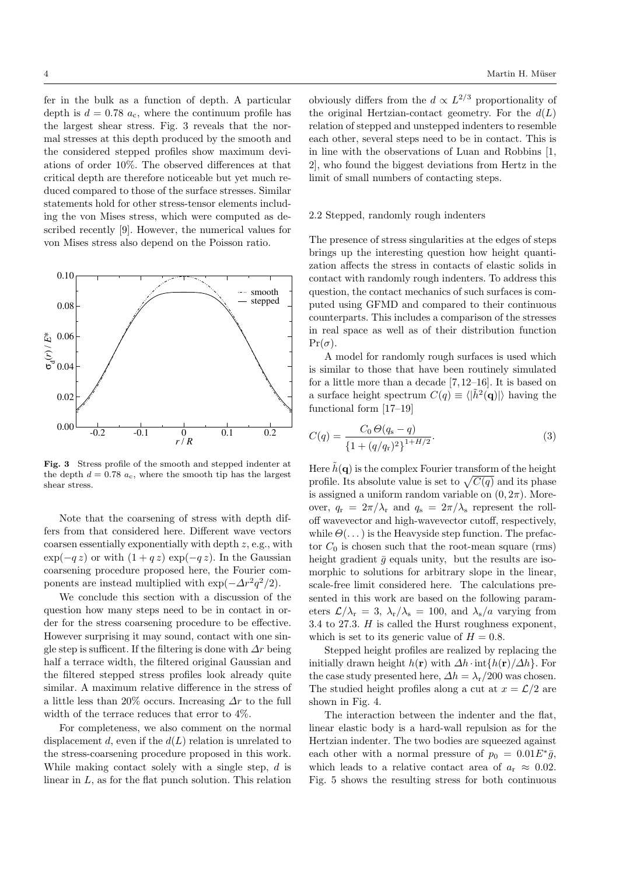fer in the bulk as a function of depth. A particular depth is  $d = 0.78$   $a_c$ , where the continuum profile has the largest shear stress. Fig. 3 reveals that the normal stresses at this depth produced by the smooth and the considered stepped profiles show maximum deviations of order 10%. The observed differences at that critical depth are therefore noticeable but yet much reduced compared to those of the surface stresses. Similar statements hold for other stress-tensor elements including the von Mises stress, which were computed as described recently [9]. However, the numerical values for von Mises stress also depend on the Poisson ratio.



Fig. 3 Stress profile of the smooth and stepped indenter at the depth  $d = 0.78$   $a_c$ , where the smooth tip has the largest shear stress.

Note that the coarsening of stress with depth differs from that considered here. Different wave vectors coarsen essentially exponentially with depth z, e.g., with  $\exp(-q\,z)$  or with  $(1+q\,z)\,\exp(-q\,z)$ . In the Gaussian coarsening procedure proposed here, the Fourier components are instead multiplied with  $\exp(-\Delta r^2 q^2/2)$ .

We conclude this section with a discussion of the question how many steps need to be in contact in order for the stress coarsening procedure to be effective. However surprising it may sound, contact with one single step is sufficent. If the filtering is done with  $\Delta r$  being half a terrace width, the filtered original Gaussian and the filtered stepped stress profiles look already quite similar. A maximum relative difference in the stress of a little less than 20% occurs. Increasing  $\Delta r$  to the full width of the terrace reduces that error to 4%.

For completeness, we also comment on the normal displacement d, even if the  $d(L)$  relation is unrelated to the stress-coarsening procedure proposed in this work. While making contact solely with a single step, d is linear in L, as for the flat punch solution. This relation

obviously differs from the  $d \propto L^{2/3}$  proportionality of the original Hertzian-contact geometry. For the  $d(L)$ relation of stepped and unstepped indenters to resemble each other, several steps need to be in contact. This is in line with the observations of Luan and Robbins [1, 2], who found the biggest deviations from Hertz in the limit of small numbers of contacting steps.

#### 2.2 Stepped, randomly rough indenters

The presence of stress singularities at the edges of steps brings up the interesting question how height quantization affects the stress in contacts of elastic solids in contact with randomly rough indenters. To address this question, the contact mechanics of such surfaces is computed using GFMD and compared to their continuous counterparts. This includes a comparison of the stresses in real space as well as of their distribution function  $Pr(\sigma)$ .

A model for randomly rough surfaces is used which is similar to those that have been routinely simulated for a little more than a decade [7, 12–16]. It is based on a surface height spectrum  $C(q) \equiv \langle |\tilde{h}^2(\mathbf{q})| \rangle$  having the functional form [17–19]

$$
C(q) = \frac{C_0 \Theta(q_s - q)}{\left\{1 + (q/q_r)^2\right\}^{1 + H/2}}.
$$
\n(3)

Here  $\hat{h}(\mathbf{q})$  is the complex Fourier transform of the height profile. Its absolute value is set to  $\sqrt{C(q)}$  and its phase is assigned a uniform random variable on  $(0, 2\pi)$ . Moreover,  $q_r = 2\pi/\lambda_r$  and  $q_s = 2\pi/\lambda_s$  represent the rolloff wavevector and high-wavevector cutoff, respectively, while  $\Theta(\ldots)$  is the Heavyside step function. The prefactor  $C_0$  is chosen such that the root-mean square (rms) height gradient  $\bar{g}$  equals unity, but the results are isomorphic to solutions for arbitrary slope in the linear, scale-free limit considered here. The calculations presented in this work are based on the following parameters  $\mathcal{L}/\lambda_r = 3$ ,  $\lambda_r/\lambda_s = 100$ , and  $\lambda_s/a$  varying from 3.4 to 27.3. H is called the Hurst roughness exponent, which is set to its generic value of  $H = 0.8$ .

Stepped height profiles are realized by replacing the initially drawn height  $h(\mathbf{r})$  with  $\Delta h \cdot \text{int}\{h(\mathbf{r})/\Delta h\}$ . For the case study presented here,  $\Delta h = \lambda_{\rm r}/200$  was chosen. The studied height profiles along a cut at  $x = \mathcal{L}/2$  are shown in Fig. 4.

The interaction between the indenter and the flat, linear elastic body is a hard-wall repulsion as for the Hertzian indenter. The two bodies are squeezed against each other with a normal pressure of  $p_0 = 0.01E^* \bar{g}$ , which leads to a relative contact area of  $a_r \approx 0.02$ . Fig. 5 shows the resulting stress for both continuous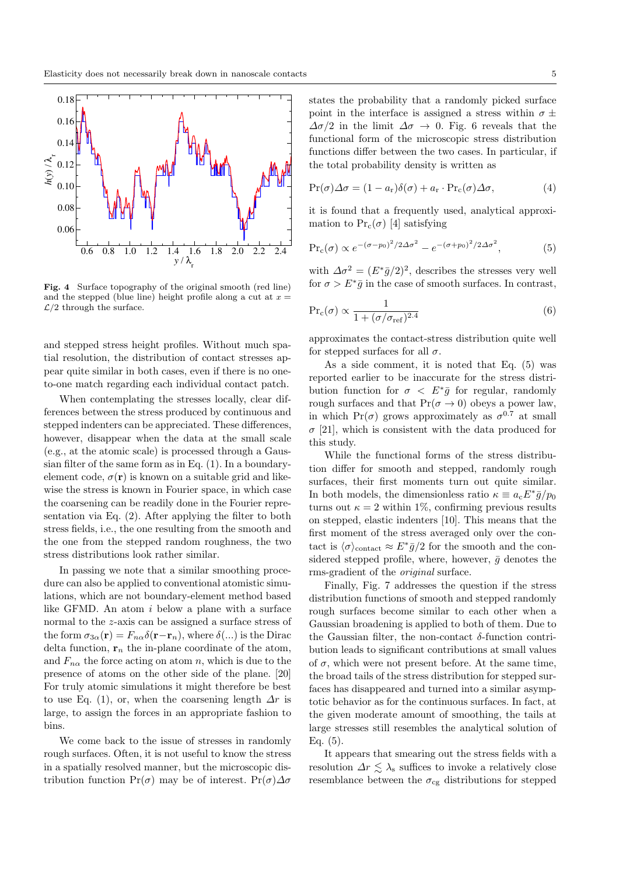

Fig. 4 Surface topography of the original smooth (red line) and the stepped (blue line) height profile along a cut at  $x =$  $\mathcal{L}/2$  through the surface.

and stepped stress height profiles. Without much spatial resolution, the distribution of contact stresses appear quite similar in both cases, even if there is no oneto-one match regarding each individual contact patch.

When contemplating the stresses locally, clear differences between the stress produced by continuous and stepped indenters can be appreciated. These differences, however, disappear when the data at the small scale (e.g., at the atomic scale) is processed through a Gaussian filter of the same form as in Eq. (1). In a boundaryelement code,  $\sigma(\mathbf{r})$  is known on a suitable grid and likewise the stress is known in Fourier space, in which case the coarsening can be readily done in the Fourier representation via Eq. (2). After applying the filter to both stress fields, i.e., the one resulting from the smooth and the one from the stepped random roughness, the two stress distributions look rather similar.

In passing we note that a similar smoothing procedure can also be applied to conventional atomistic simulations, which are not boundary-element method based like GFMD. An atom i below a plane with a surface normal to the z-axis can be assigned a surface stress of the form  $\sigma_{3\alpha}(\mathbf{r}) = F_{n\alpha}\delta(\mathbf{r}-\mathbf{r}_n)$ , where  $\delta(...)$  is the Dirac delta function,  $r_n$  the in-plane coordinate of the atom, and  $F_{n\alpha}$  the force acting on atom n, which is due to the presence of atoms on the other side of the plane. [20] For truly atomic simulations it might therefore be best to use Eq. (1), or, when the coarsening length  $\Delta r$  is large, to assign the forces in an appropriate fashion to bins.

We come back to the issue of stresses in randomly rough surfaces. Often, it is not useful to know the stress in a spatially resolved manner, but the microscopic distribution function  $Pr(\sigma)$  may be of interest.  $Pr(\sigma) \Delta \sigma$  states the probability that a randomly picked surface point in the interface is assigned a stress within  $\sigma \pm$  $\Delta\sigma/2$  in the limit  $\Delta\sigma \rightarrow 0$ . Fig. 6 reveals that the functional form of the microscopic stress distribution functions differ between the two cases. In particular, if the total probability density is written as

$$
Pr(\sigma)\Delta\sigma = (1 - a_r)\delta(\sigma) + a_r \cdot Pr_c(\sigma)\Delta\sigma,
$$
\n(4)

it is found that a frequently used, analytical approximation to  $Pr_c(\sigma)$  [4] satisfying

$$
\Pr_c(\sigma) \propto e^{-(\sigma - p_0)^2/2\Delta\sigma^2} - e^{-(\sigma + p_0)^2/2\Delta\sigma^2},\tag{5}
$$

with  $\Delta \sigma^2 = (E^* \bar{g}/2)^2$ , describes the stresses very well for  $\sigma > E^* \bar{g}$  in the case of smooth surfaces. In contrast,

$$
\Pr_{\rm c}(\sigma) \propto \frac{1}{1 + (\sigma/\sigma_{\rm ref})^{2.4}}\tag{6}
$$

approximates the contact-stress distribution quite well for stepped surfaces for all  $\sigma$ .

As a side comment, it is noted that Eq. (5) was reported earlier to be inaccurate for the stress distribution function for  $\sigma \langle E^*\bar{g} \rangle$  for regular, randomly rough surfaces and that  $Pr(\sigma \to 0)$  obeys a power law, in which  $Pr(\sigma)$  grows approximately as  $\sigma^{0.7}$  at small  $\sigma$  [21], which is consistent with the data produced for this study.

While the functional forms of the stress distribution differ for smooth and stepped, randomly rough surfaces, their first moments turn out quite similar. In both models, the dimensionless ratio  $\kappa \equiv a_c E^* \bar{g}/p_0$ turns out  $\kappa = 2$  within 1%, confirming previous results on stepped, elastic indenters [10]. This means that the first moment of the stress averaged only over the contact is  $\langle \sigma \rangle_{\text{contact}} \approx E^* \bar{g}/2$  for the smooth and the considered stepped profile, where, however,  $\bar{g}$  denotes the rms-gradient of the original surface.

Finally, Fig. 7 addresses the question if the stress distribution functions of smooth and stepped randomly rough surfaces become similar to each other when a Gaussian broadening is applied to both of them. Due to the Gaussian filter, the non-contact  $\delta$ -function contribution leads to significant contributions at small values of  $\sigma$ , which were not present before. At the same time, the broad tails of the stress distribution for stepped surfaces has disappeared and turned into a similar asymptotic behavior as for the continuous surfaces. In fact, at the given moderate amount of smoothing, the tails at large stresses still resembles the analytical solution of Eq.  $(5)$ .

It appears that smearing out the stress fields with a resolution  $\Delta r \leq \lambda_s$  suffices to invoke a relatively close resemblance between the  $\sigma_{cg}$  distributions for stepped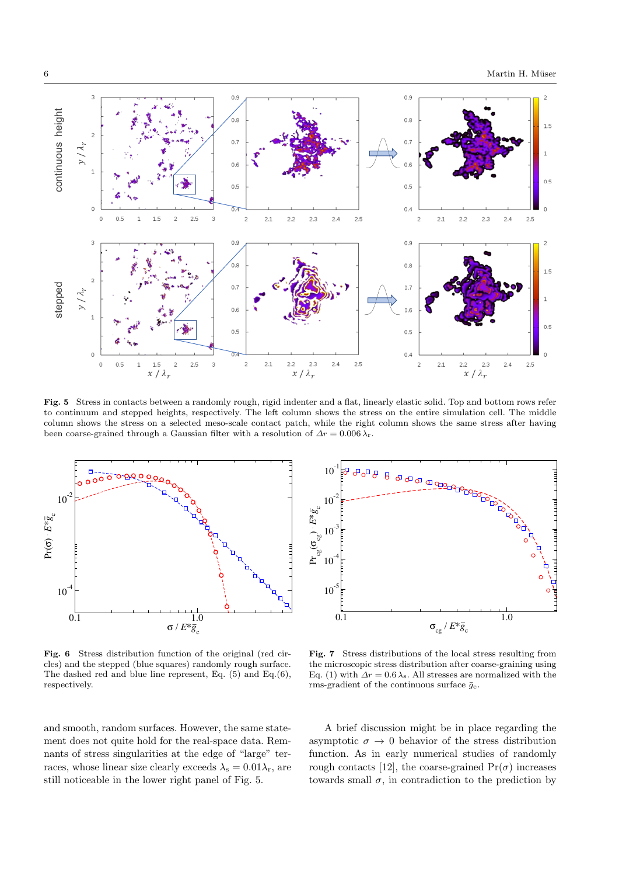

Fig. 5 Stress in contacts between a randomly rough, rigid indenter and a flat, linearly elastic solid. Top and bottom rows refer to continuum and stepped heights, respectively. The left column shows the stress on the entire simulation cell. The middle column shows the stress on a selected meso-scale contact patch, while the right column shows the same stress after having been coarse-grained through a Gaussian filter with a resolution of  $\Delta r = 0.006 \lambda_r$ .



Fig. 6 Stress distribution function of the original (red circles) and the stepped (blue squares) randomly rough surface. The dashed red and blue line represent, Eq. (5) and Eq.(6), respectively.

and smooth, random surfaces. However, the same statement does not quite hold for the real-space data. Remnants of stress singularities at the edge of "large" terraces, whose linear size clearly exceeds  $\lambda_s = 0.01 \lambda_r$ , are still noticeable in the lower right panel of Fig. 5.



Fig. 7 Stress distributions of the local stress resulting from the microscopic stress distribution after coarse-graining using Eq. (1) with  $\Delta r = 0.6 \lambda$ <sub>s</sub>. All stresses are normalized with the rms-gradient of the continuous surface  $\bar{g}_c$ .

A brief discussion might be in place regarding the asymptotic  $\sigma \to 0$  behavior of the stress distribution function. As in early numerical studies of randomly rough contacts [12], the coarse-grained  $Pr(\sigma)$  increases towards small  $\sigma$ , in contradiction to the prediction by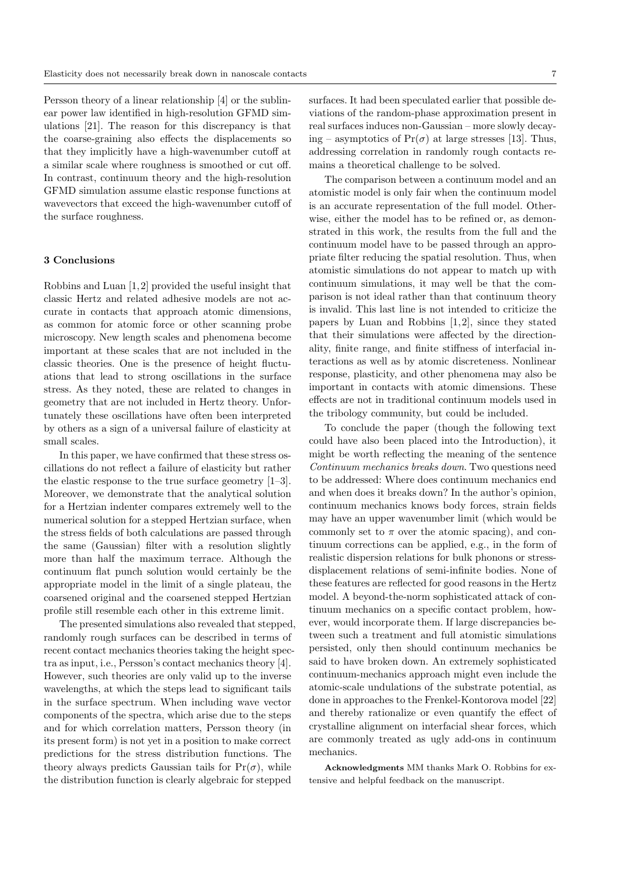Persson theory of a linear relationship [4] or the sublinear power law identified in high-resolution GFMD simulations [21]. The reason for this discrepancy is that the coarse-graining also effects the displacements so that they implicitly have a high-wavenumber cutoff at a similar scale where roughness is smoothed or cut off. In contrast, continuum theory and the high-resolution GFMD simulation assume elastic response functions at wavevectors that exceed the high-wavenumber cutoff of the surface roughness.

## 3 Conclusions

Robbins and Luan [1, 2] provided the useful insight that classic Hertz and related adhesive models are not accurate in contacts that approach atomic dimensions, as common for atomic force or other scanning probe microscopy. New length scales and phenomena become important at these scales that are not included in the classic theories. One is the presence of height fluctuations that lead to strong oscillations in the surface stress. As they noted, these are related to changes in geometry that are not included in Hertz theory. Unfortunately these oscillations have often been interpreted by others as a sign of a universal failure of elasticity at small scales.

In this paper, we have confirmed that these stress oscillations do not reflect a failure of elasticity but rather the elastic response to the true surface geometry [1–3]. Moreover, we demonstrate that the analytical solution for a Hertzian indenter compares extremely well to the numerical solution for a stepped Hertzian surface, when the stress fields of both calculations are passed through the same (Gaussian) filter with a resolution slightly more than half the maximum terrace. Although the continuum flat punch solution would certainly be the appropriate model in the limit of a single plateau, the coarsened original and the coarsened stepped Hertzian profile still resemble each other in this extreme limit.

The presented simulations also revealed that stepped, randomly rough surfaces can be described in terms of recent contact mechanics theories taking the height spectra as input, i.e., Persson's contact mechanics theory [4]. However, such theories are only valid up to the inverse wavelengths, at which the steps lead to significant tails in the surface spectrum. When including wave vector components of the spectra, which arise due to the steps and for which correlation matters, Persson theory (in its present form) is not yet in a position to make correct predictions for the stress distribution functions. The theory always predicts Gaussian tails for  $Pr(\sigma)$ , while the distribution function is clearly algebraic for stepped

surfaces. It had been speculated earlier that possible deviations of the random-phase approximation present in real surfaces induces non-Gaussian – more slowly decaying – asymptotics of  $Pr(\sigma)$  at large stresses [13]. Thus, addressing correlation in randomly rough contacts remains a theoretical challenge to be solved.

The comparison between a continuum model and an atomistic model is only fair when the continuum model is an accurate representation of the full model. Otherwise, either the model has to be refined or, as demonstrated in this work, the results from the full and the continuum model have to be passed through an appropriate filter reducing the spatial resolution. Thus, when atomistic simulations do not appear to match up with continuum simulations, it may well be that the comparison is not ideal rather than that continuum theory is invalid. This last line is not intended to criticize the papers by Luan and Robbins  $[1, 2]$ , since they stated that their simulations were affected by the directionality, finite range, and finite stiffness of interfacial interactions as well as by atomic discreteness. Nonlinear response, plasticity, and other phenomena may also be important in contacts with atomic dimensions. These effects are not in traditional continuum models used in the tribology community, but could be included.

To conclude the paper (though the following text could have also been placed into the Introduction), it might be worth reflecting the meaning of the sentence Continuum mechanics breaks down. Two questions need to be addressed: Where does continuum mechanics end and when does it breaks down? In the author's opinion, continuum mechanics knows body forces, strain fields may have an upper wavenumber limit (which would be commonly set to  $\pi$  over the atomic spacing), and continuum corrections can be applied, e.g., in the form of realistic dispersion relations for bulk phonons or stressdisplacement relations of semi-infinite bodies. None of these features are reflected for good reasons in the Hertz model. A beyond-the-norm sophisticated attack of continuum mechanics on a specific contact problem, however, would incorporate them. If large discrepancies between such a treatment and full atomistic simulations persisted, only then should continuum mechanics be said to have broken down. An extremely sophisticated continuum-mechanics approach might even include the atomic-scale undulations of the substrate potential, as done in approaches to the Frenkel-Kontorova model [22] and thereby rationalize or even quantify the effect of crystalline alignment on interfacial shear forces, which are commonly treated as ugly add-ons in continuum mechanics.

Acknowledgments MM thanks Mark O. Robbins for extensive and helpful feedback on the manuscript.